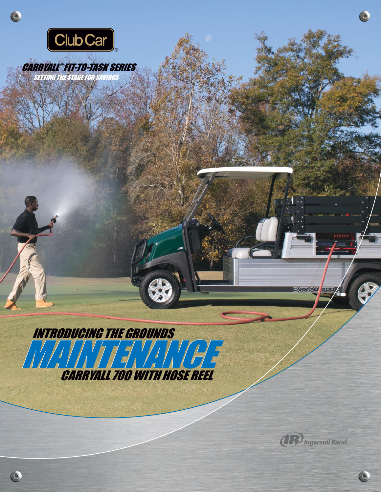